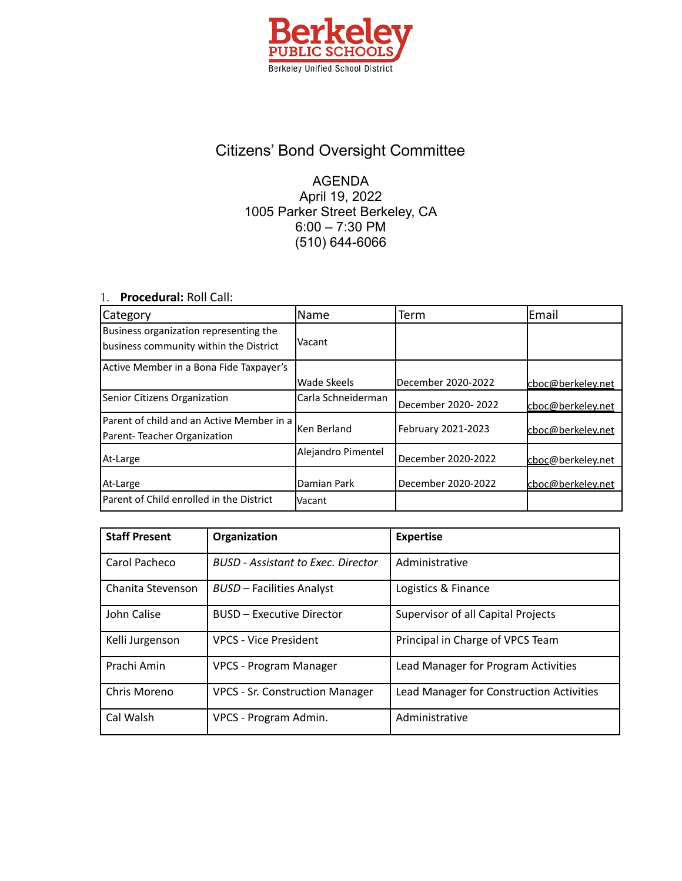

## Citizens' Bond Oversight Committee

## AGENDA April 19, 2022 1005 Parker Street Berkeley, CA 6:00 – 7:30 PM (510) 644-6066

## 1. **Procedural:** Roll Call:

| Category                                                                 | lName              | Term                | Email             |
|--------------------------------------------------------------------------|--------------------|---------------------|-------------------|
| Business organization representing the                                   | Vacant             |                     |                   |
| business community within the District                                   |                    |                     |                   |
| Active Member in a Bona Fide Taxpayer's                                  |                    |                     |                   |
|                                                                          | Wade Skeels        | December 2020-2022  | cboc@berkeley.net |
| Senior Citizens Organization                                             | Carla Schneiderman | December 2020- 2022 | cboc@berkeley.net |
| Parent of child and an Active Member in a<br>Parent-Teacher Organization | Ken Berland        | February 2021-2023  | cboc@berkeley.net |
| At-Large                                                                 | Alejandro Pimentel | December 2020-2022  | cboc@berkeley.net |
| At-Large                                                                 | Damian Park        | December 2020-2022  | cboc@berkeley.net |
| Parent of Child enrolled in the District                                 | Vacant             |                     |                   |

| <b>Staff Present</b> | Organization                              | <b>Expertise</b>                         |
|----------------------|-------------------------------------------|------------------------------------------|
| Carol Pacheco        | <b>BUSD</b> - Assistant to Exec. Director | Administrative                           |
| Chanita Stevenson    | <b>BUSD - Facilities Analyst</b>          | Logistics & Finance                      |
| John Calise          | <b>BUSD - Executive Director</b>          | Supervisor of all Capital Projects       |
| Kelli Jurgenson      | <b>VPCS - Vice President</b>              | Principal in Charge of VPCS Team         |
| Prachi Amin          | VPCS - Program Manager                    | Lead Manager for Program Activities      |
| Chris Moreno         | <b>VPCS - Sr. Construction Manager</b>    | Lead Manager for Construction Activities |
| Cal Walsh            | VPCS - Program Admin.                     | Administrative                           |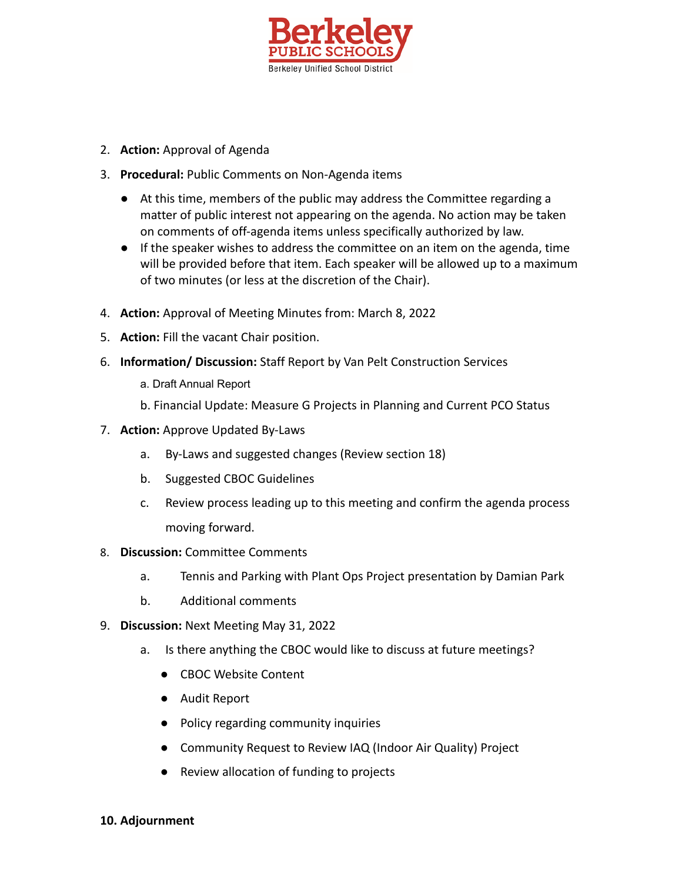

- 2. **Action:** Approval of Agenda
- 3. **Procedural:** Public Comments on Non-Agenda items
	- At this time, members of the public may address the Committee regarding a matter of public interest not appearing on the agenda. No action may be taken on comments of off-agenda items unless specifically authorized by law.
	- If the speaker wishes to address the committee on an item on the agenda, time will be provided before that item. Each speaker will be allowed up to a maximum of two minutes (or less at the discretion of the Chair).
- 4. **Action:** Approval of Meeting Minutes from: March 8, 2022
- 5. **Action:** Fill the vacant Chair position.
- 6. **Information/ Discussion:** Staff Report by Van Pelt Construction Services
	- a. Draft Annual Report
	- b. Financial Update: Measure G Projects in Planning and Current PCO Status
- 7. **Action:** Approve Updated By-Laws
	- a. By-Laws and suggested changes (Review section 18)
	- b. Suggested CBOC Guidelines
	- c. Review process leading up to this meeting and confirm the agenda process moving forward.
- 8. **Discussion:** Committee Comments
	- a. Tennis and Parking with Plant Ops Project presentation by Damian Park
	- b. Additional comments
- 9. **Discussion:** Next Meeting May 31, 2022
	- a. Is there anything the CBOC would like to discuss at future meetings?
		- CBOC Website Content
		- Audit Report
		- Policy regarding community inquiries
		- Community Request to Review IAQ (Indoor Air Quality) Project
		- Review allocation of funding to projects